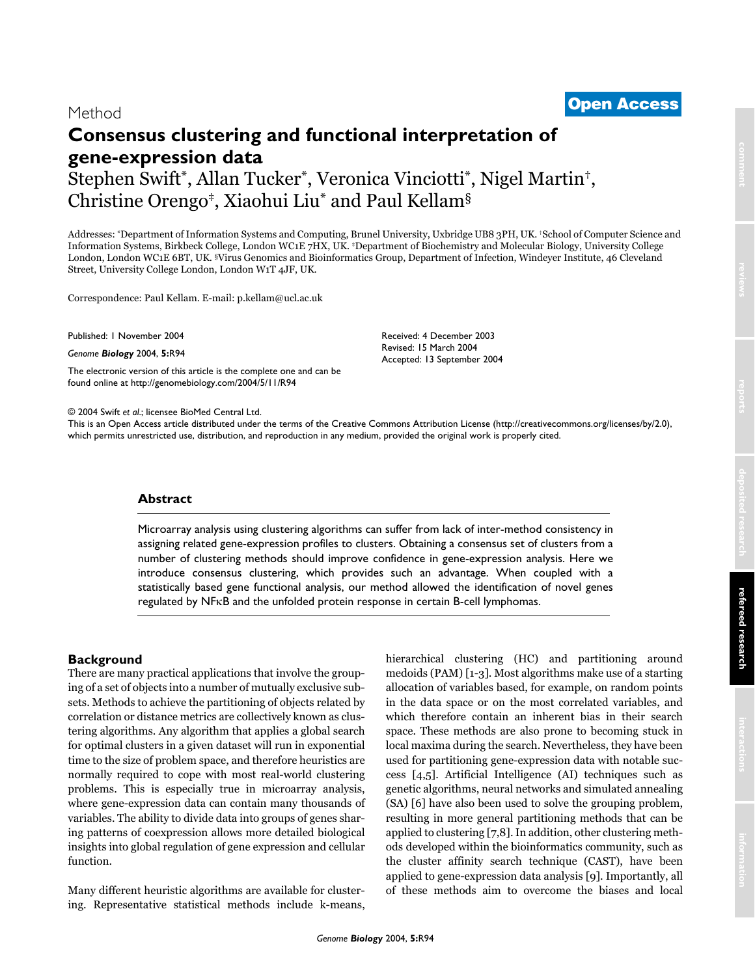# <sup>2004</sup> Swift et al.Volume 5, Issue 11, Article R94 **[Open Access](http://www.biomedcentral.com/info/about/charter/)** Method

# **Consensus clustering and functional interpretation of gene-expression data** Stephen Swift\*, Allan Tucker\*, Veronica Vinciotti\*, Nigel Martin†, Christine Orengo‡, Xiaohui Liu\* and Paul Kellam§

Addresses: \*Department of Information Systems and Computing, Brunel University, Uxbridge UB8 3PH, UK. †School of Computer Science and Information Systems, Birkbeck College, London WC1E 7HX, UK. ‡Department of Biochemistry and Molecular Biology, University College London, London WC1E 6BT, UK. §Virus Genomics and Bioinformatics Group, Department of Infection, Windeyer Institute, 46 Cleveland Street, University College London, London W1T 4JF, UK.

> Received: 4 December 2003 Revised: 15 March 2004 Accepted: 13 September 2004

Correspondence: Paul Kellam. E-mail: p.kellam@ucl.ac.uk

Published: 1 November 2004

*Genome Biology* 2004, **5:**R94

[The electronic version of this article is the complete one and can be](http://genomebiology.com/2004/5/11/R94)  found online at http://genomebiology.com/2004/5/11/R94

© 2004 Swift *et al*.; licensee BioMed Central Ltd.

[This is an Open Access article distributed under the terms of the Creative Commons Attribution License \(http://creativecommons.org/licenses/by/2.0\),](http://creativecommons.org/licenses/by/2.0)  which permits unrestricted use, distribution, and reproduction in any medium, provided the original work is properly cited.

# **Abstract**

Microarray analysis using clustering algorithms can suffer from lack of inter-method consistency in assigning related gene-expression profiles to clusters. Obtaining a consensus set of clusters from a number of clustering methods should improve confidence in gene-expression analysis. Here we introduce consensus clustering, which provides such an advantage. When coupled with a statistically based gene functional analysis, our method allowed the identification of novel genes regulated by NFκB and the unfolded protein response in certain B-cell lymphomas.

# **Background**

There are many practical applications that involve the grouping of a set of objects into a number of mutually exclusive subsets. Methods to achieve the partitioning of objects related by correlation or distance metrics are collectively known as clustering algorithms. Any algorithm that applies a global search for optimal clusters in a given dataset will run in exponential time to the size of problem space, and therefore heuristics are normally required to cope with most real-world clustering problems. This is especially true in microarray analysis, where gene-expression data can contain many thousands of variables. The ability to divide data into groups of genes sharing patterns of coexpression allows more detailed biological insights into global regulation of gene expression and cellular function.

Many different heuristic algorithms are available for clustering. Representative statistical methods include k-means, hierarchical clustering (HC) and partitioning around medoids (PAM) [1-3]. Most algorithms make use of a starting allocation of variables based, for example, on random points in the data space or on the most correlated variables, and which therefore contain an inherent bias in their search space. These methods are also prone to becoming stuck in local maxima during the search. Nevertheless, they have been used for partitioning gene-expression data with notable success [4,5]. Artificial Intelligence (AI) techniques such as genetic algorithms, neural networks and simulated annealing (SA) [6] have also been used to solve the grouping problem, resulting in more general partitioning methods that can be applied to clustering [7,8]. In addition, other clustering methods developed within the bioinformatics community, such as the cluster affinity search technique (CAST), have been applied to gene-expression data analysis [9]. Importantly, all of these methods aim to overcome the biases and local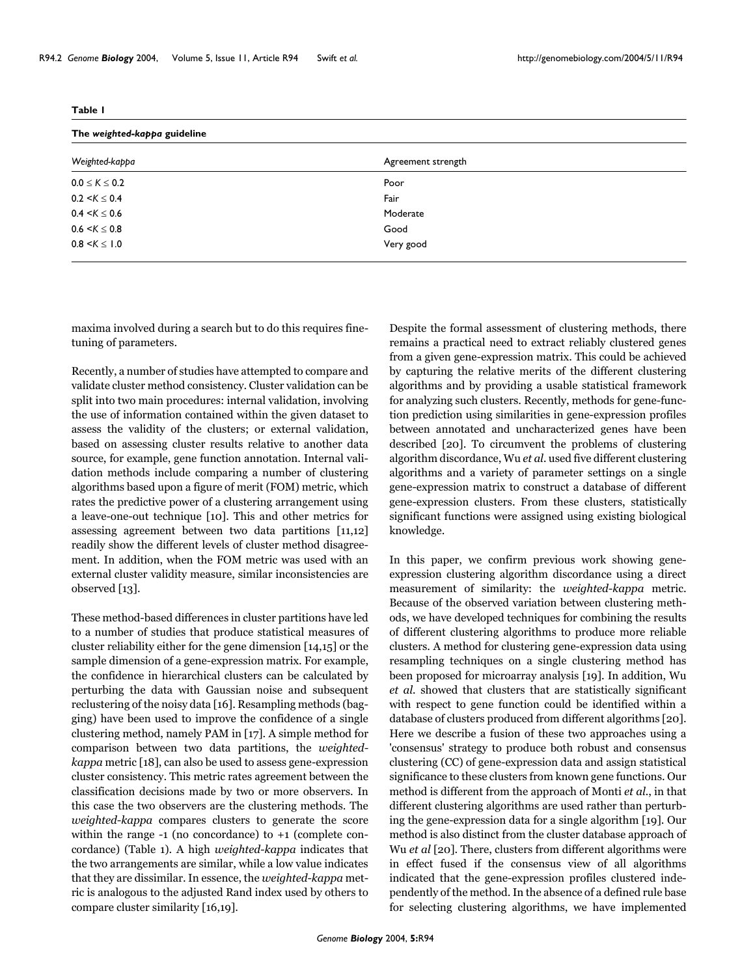<span id="page-1-0"></span>

| .<br>۰.<br>٠ |  |
|--------------|--|
|--------------|--|

| The weighted-kappa guideline |                    |  |  |
|------------------------------|--------------------|--|--|
| Weighted-kappa               | Agreement strength |  |  |
| $0.0 \le K \le 0.2$          | Poor               |  |  |
| $0.2 \le K \le 0.4$          | Fair               |  |  |
| $0.4 \le K \le 0.6$          | Moderate           |  |  |
| $0.6 \le K \le 0.8$          | Good               |  |  |
| $0.8 \le K \le 1.0$          | Very good          |  |  |

maxima involved during a search but to do this requires finetuning of parameters.

Recently, a number of studies have attempted to compare and validate cluster method consistency. Cluster validation can be split into two main procedures: internal validation, involving the use of information contained within the given dataset to assess the validity of the clusters; or external validation, based on assessing cluster results relative to another data source, for example, gene function annotation. Internal validation methods include comparing a number of clustering algorithms based upon a figure of merit (FOM) metric, which rates the predictive power of a clustering arrangement using a leave-one-out technique [10]. This and other metrics for assessing agreement between two data partitions [11,12] readily show the different levels of cluster method disagreement. In addition, when the FOM metric was used with an external cluster validity measure, similar inconsistencies are observed [13].

These method-based differences in cluster partitions have led to a number of studies that produce statistical measures of cluster reliability either for the gene dimension [14,15] or the sample dimension of a gene-expression matrix. For example, the confidence in hierarchical clusters can be calculated by perturbing the data with Gaussian noise and subsequent reclustering of the noisy data [16]. Resampling methods (bagging) have been used to improve the confidence of a single clustering method, namely PAM in [17]. A simple method for comparison between two data partitions, the *weightedkappa* metric [18], can also be used to assess gene-expression cluster consistency. This metric rates agreement between the classification decisions made by two or more observers. In this case the two observers are the clustering methods. The *weighted-kappa* compares clusters to generate the score within the range -1 (no concordance) to  $+1$  (complete concordance) (Table [1\)](#page-1-0). A high *weighted-kappa* indicates that the two arrangements are similar, while a low value indicates that they are dissimilar. In essence, the *weighted-kappa* metric is analogous to the adjusted Rand index used by others to compare cluster similarity [16,19].

Despite the formal assessment of clustering methods, there remains a practical need to extract reliably clustered genes from a given gene-expression matrix. This could be achieved by capturing the relative merits of the different clustering algorithms and by providing a usable statistical framework for analyzing such clusters. Recently, methods for gene-function prediction using similarities in gene-expression profiles between annotated and uncharacterized genes have been described [20]. To circumvent the problems of clustering algorithm discordance, Wu *et al.* used five different clustering algorithms and a variety of parameter settings on a single gene-expression matrix to construct a database of different gene-expression clusters. From these clusters, statistically significant functions were assigned using existing biological knowledge.

In this paper, we confirm previous work showing geneexpression clustering algorithm discordance using a direct measurement of similarity: the *weighted-kappa* metric. Because of the observed variation between clustering methods, we have developed techniques for combining the results of different clustering algorithms to produce more reliable clusters. A method for clustering gene-expression data using resampling techniques on a single clustering method has been proposed for microarray analysis [19]. In addition, Wu *et al.* showed that clusters that are statistically significant with respect to gene function could be identified within a database of clusters produced from different algorithms [20]. Here we describe a fusion of these two approaches using a 'consensus' strategy to produce both robust and consensus clustering (CC) of gene-expression data and assign statistical significance to these clusters from known gene functions. Our method is different from the approach of Monti *et al.*, in that different clustering algorithms are used rather than perturbing the gene-expression data for a single algorithm [19]. Our method is also distinct from the cluster database approach of Wu *et al* [20]. There, clusters from different algorithms were in effect fused if the consensus view of all algorithms indicated that the gene-expression profiles clustered independently of the method. In the absence of a defined rule base for selecting clustering algorithms, we have implemented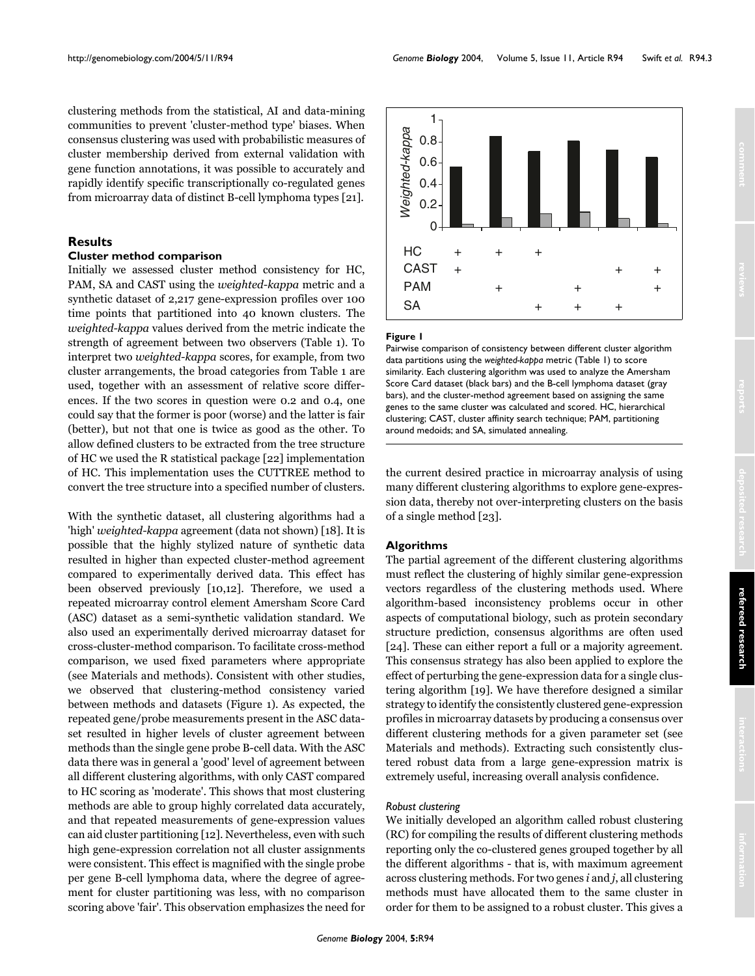clustering methods from the statistical, AI and data-mining communities to prevent 'cluster-method type' biases. When consensus clustering was used with probabilistic measures of cluster membership derived from external validation with gene function annotations, it was possible to accurately and rapidly identify specific transcriptionally co-regulated genes from microarray data of distinct B-cell lymphoma types [21].

# **Results**

### **Cluster method comparison**

Initially we assessed cluster method consistency for HC, PAM, SA and CAST using the *weighted-kappa* metric and a synthetic dataset of 2,217 gene-expression profiles over 100 time points that partitioned into 40 known clusters. The *weighted-kappa* values derived from the metric indicate the strength of agreement between two observers (Table [1\)](#page-1-0). To interpret two *weighted-kappa* scores, for example, from two cluster arrangements, the broad categories from Table [1](#page-1-0) are used, together with an assessment of relative score differences. If the two scores in question were 0.2 and 0.4, one could say that the former is poor (worse) and the latter is fair (better), but not that one is twice as good as the other. To allow defined clusters to be extracted from the tree structure of HC we used the R statistical package [22] implementation of HC. This implementation uses the CUTTREE method to convert the tree structure into a specified number of clusters.

With the synthetic dataset, all clustering algorithms had a 'high' *weighted-kappa* agreement (data not shown) [18]. It is possible that the highly stylized nature of synthetic data resulted in higher than expected cluster-method agreement compared to experimentally derived data. This effect has been observed previously [10,12]. Therefore, we used a repeated microarray control element Amersham Score Card (ASC) dataset as a semi-synthetic validation standard. We also used an experimentally derived microarray dataset for cross-cluster-method comparison. To facilitate cross-method comparison, we used fixed parameters where appropriate (see Materials and methods). Consistent with other studies, we observed that clustering-method consistency varied between methods and datasets (Figure 1). As expected, the repeated gene/probe measurements present in the ASC dataset resulted in higher levels of cluster agreement between methods than the single gene probe B-cell data. With the ASC data there was in general a 'good' level of agreement between all different clustering algorithms, with only CAST compared to HC scoring as 'moderate'. This shows that most clustering methods are able to group highly correlated data accurately, and that repeated measurements of gene-expression values can aid cluster partitioning [12]. Nevertheless, even with such high gene-expression correlation not all cluster assignments were consistent. This effect is magnified with the single probe per gene B-cell lymphoma data, where the degree of agreement for cluster partitioning was less, with no comparison scoring above 'fair'. This observation emphasizes the need for



#### Figure I

Pairwise comparison of consistency between different cluster algorithm data partitions using the *weighted-kappa* metric (Table 1) to score similarity. Each clustering algorithm was used to analyze the Amersham Score Card dataset (black bars) and the B-cell lymphoma dataset (gray bars), and the cluster-method agreement based on assigning the same genes to the same cluster was calculated and scored. HC, hierarchical clustering; CAST, cluster affinity search technique; PAM, partitioning

the current desired practice in microarray analysis of using many different clustering algorithms to explore gene-expression data, thereby not over-interpreting clusters on the basis of a single method [23].

## **Algorithms**

The partial agreement of the different clustering algorithms must reflect the clustering of highly similar gene-expression vectors regardless of the clustering methods used. Where algorithm-based inconsistency problems occur in other aspects of computational biology, such as protein secondary structure prediction, consensus algorithms are often used [24]. These can either report a full or a majority agreement. This consensus strategy has also been applied to explore the effect of perturbing the gene-expression data for a single clustering algorithm [19]. We have therefore designed a similar strategy to identify the consistently clustered gene-expression profiles in microarray datasets by producing a consensus over different clustering methods for a given parameter set (see Materials and methods). Extracting such consistently clustered robust data from a large gene-expression matrix is extremely useful, increasing overall analysis confidence.

### *Robust clustering*

We initially developed an algorithm called robust clustering (RC) for compiling the results of different clustering methods reporting only the co-clustered genes grouped together by all the different algorithms - that is, with maximum agreement across clustering methods. For two genes *i* and *j*, all clustering methods must have allocated them to the same cluster in order for them to be assigned to a robust cluster. This gives a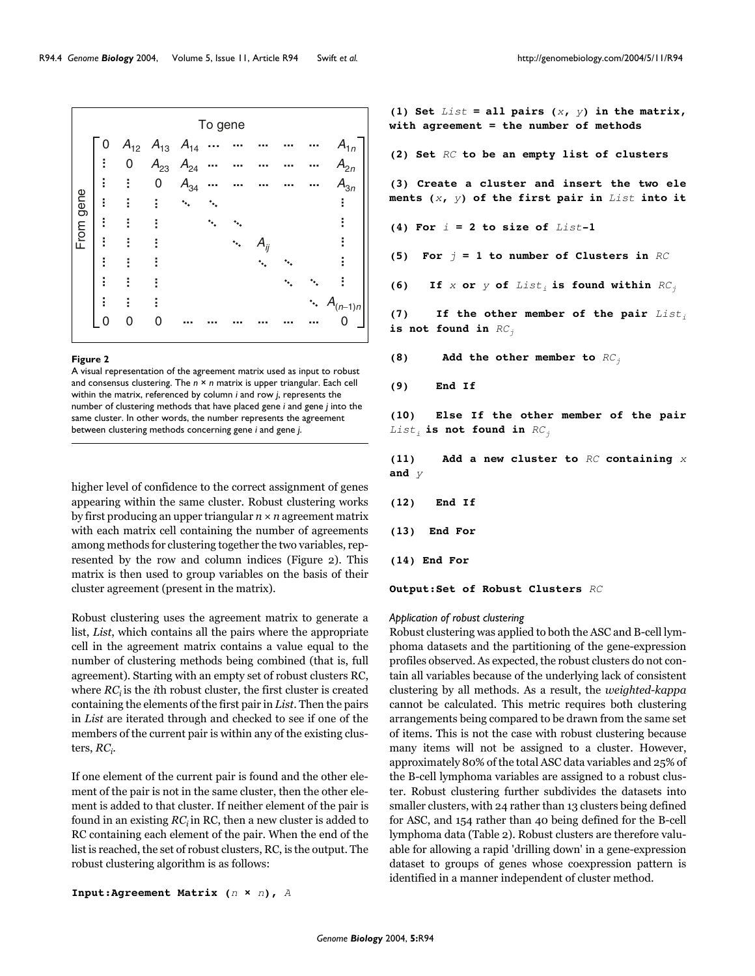higher level of confidence to the correct assignment of genes appearing within the same cluster. Robust clustering works by first producing an upper triangular *n* × *n* agreement matrix with each matrix cell containing the number of agreements among methods for clustering together the two variables, represented by the row and column indices (Figure 2). This matrix is then used to group variables on the basis of their cluster agreement (present in the matrix).

Robust clustering uses the agreement matrix to generate a list, *List*, which contains all the pairs where the appropriate cell in the agreement matrix contains a value equal to the number of clustering methods being combined (that is, full agreement). Starting with an empty set of robust clusters RC, where  $RC<sub>i</sub>$  is the *i*th robust cluster, the first cluster is created containing the elements of the first pair in *List*. Then the pairs in *List* are iterated through and checked to see if one of the members of the current pair is within any of the existing clusters, *RCi* .

If one element of the current pair is found and the other element of the pair is not in the same cluster, then the other element is added to that cluster. If neither element of the pair is found in an existing  $RC<sub>i</sub>$  in RC, then a new cluster is added to RC containing each element of the pair. When the end of the list is reached, the set of robust clusters, RC, is the output. The robust clustering algorithm is as follows:

Input:Agreement Matrix (*n* × *n*), *A*

(1) Set  $List = all pairs (x, y) in the matrix,$ with agreement = the number of methods

(2) Set *RC* to be an empty list of clusters

(3) Create a cluster and insert the two ele ments (*x*, *y*) of the first pair in *List* into it

(4) For  $i = 2$  to size of  $List-1$ 

For  $j = 1$  to number of Clusters in  $RC$ 

(6) If *x* or *y* of *List<sub>i</sub>* is found within  $RC_j$ 

(7) If the other member of the pair *Listi* is not found in  $RC<sub>j</sub>$ 

(8) Add the other member to *RCj*

(10) Else If the other member of the pair *List<sub>i</sub>* is not found in  $RC_j$ 

(11) Add a new cluster to *RC* containing *x* and *y*

- (12) End If
- (13) End For
- (14) End For

Output:Set of Robust Clusters *RC*

## *Application of robust clustering*

Robust clustering was applied to both the ASC and B-cell lymphoma datasets and the partitioning of the gene-expression profiles observed. As expected, the robust clusters do not contain all variables because of the underlying lack of consistent clustering by all methods. As a result, the *weighted-kappa* cannot be calculated. This metric requires both clustering arrangements being compared to be drawn from the same set of items. This is not the case with robust clustering because many items will not be assigned to a cluster. However, approximately 80% of the total ASC data variables and 25% of the B-cell lymphoma variables are assigned to a robust cluster. Robust clustering further subdivides the datasets into smaller clusters, with 24 rather than 13 clusters being defined for ASC, and 154 rather than 40 being defined for the B-cell lymphoma data (Table [2\)](#page-4-0). Robust clusters are therefore valuable for allowing a rapid 'drilling down' in a gene-expression dataset to groups of genes whose coexpression pattern is identified in a manner independent of cluster method.



A visual representation of the agreement matrix used as input to robust and consensus clustering. The *n* × *n* matrix is upper triangular. Each cell within the matrix, referenced by column *i* and row *j*, represents the number of clustering methods that have placed gene *i* and gene *j* into the same cluster. In other words, the number represents the agreement

between clustering methods concerning gene *i* and gene *j*.

<sup>(9)</sup> End If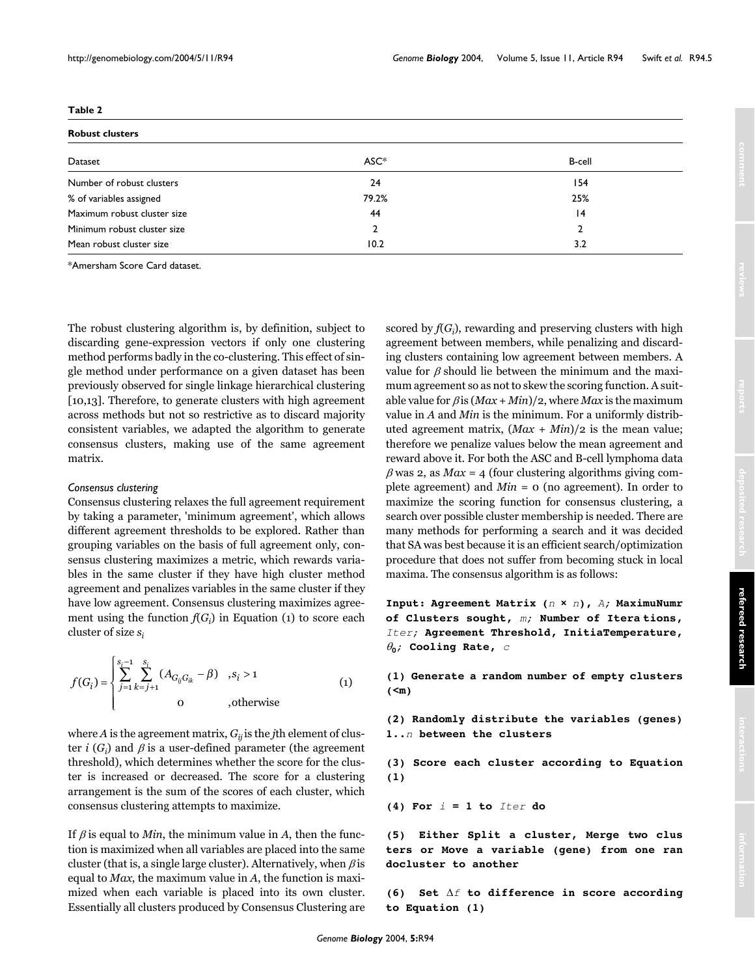<span id="page-4-0"></span>

|--|--|--|--|

| <b>Robust clusters</b>      |        |        |  |
|-----------------------------|--------|--------|--|
| Dataset                     | $ASC*$ | B-cell |  |
| Number of robust clusters   | 24     | 154    |  |
| % of variables assigned     | 79.2%  | 25%    |  |
| Maximum robust cluster size | 44     | 4      |  |
| Minimum robust cluster size | 2      | າ      |  |
| Mean robust cluster size    | 10.2   | 3.2    |  |

\*Amersham Score Card dataset.

The robust clustering algorithm is, by definition, subject to discarding gene-expression vectors if only one clustering method performs badly in the co-clustering. This effect of single method under performance on a given dataset has been previously observed for single linkage hierarchical clustering [10,13]. Therefore, to generate clusters with high agreement across methods but not so restrictive as to discard majority consistent variables, we adapted the algorithm to generate consensus clusters, making use of the same agreement matrix.

#### *Consensus clustering*

Consensus clustering relaxes the full agreement requirement by taking a parameter, 'minimum agreement', which allows different agreement thresholds to be explored. Rather than grouping variables on the basis of full agreement only, consensus clustering maximizes a metric, which rewards variables in the same cluster if they have high cluster method agreement and penalizes variables in the same cluster if they have low agreement. Consensus clustering maximizes agreement using the function  $f(G_i)$  in Equation (1) to score each cluster of size *si*

$$
f(G_i) = \begin{cases} \sum_{j=1}^{S_i-1} \sum_{k=j+1}^{S_i} (A_{G_{ij}G_{ik}} - \beta) & , s_i > 1 \\ 0 & , \text{otherwise} \end{cases}
$$
 (1)

where *A* is the agreement matrix,  $G_{ij}$  is the *j*th element of cluster *i*  $(G_i)$  and  $\beta$  is a user-defined parameter (the agreement threshold), which determines whether the score for the cluster is increased or decreased. The score for a clustering arrangement is the sum of the scores of each cluster, which consensus clustering attempts to maximize.

If  $\beta$  is equal to *Min*, the minimum value in *A*, then the function is maximized when all variables are placed into the same cluster (that is, a single large cluster). Alternatively, when  $\beta$  is equal to *Max*, the maximum value in *A*, the function is maximized when each variable is placed into its own cluster. Essentially all clusters produced by Consensus Clustering are

scored by  $f(G_i)$ , rewarding and preserving clusters with high agreement between members, while penalizing and discarding clusters containing low agreement between members. A value for  $\beta$  should lie between the minimum and the maximum agreement so as not to skew the scoring function. A suitable value for  $\beta$  is  $(Max + Min)/2$ , where *Max* is the maximum value in *A* and *Min* is the minimum. For a uniformly distributed agreement matrix,  $(Max + Min)/2$  is the mean value; therefore we penalize values below the mean agreement and reward above it. For both the ASC and B-cell lymphoma data  $\beta$  was 2, as  $Max = 4$  (four clustering algorithms giving complete agreement) and *Min* = 0 (no agreement). In order to maximize the scoring function for consensus clustering, a search over possible cluster membership is needed. There are many methods for performing a search and it was decided that SA was best because it is an efficient search/optimization procedure that does not suffer from becoming stuck in local maxima. The consensus algorithm is as follows:

Input: Agreement Matrix (*n* × *n*), *A;* MaximuNumr of Clusters sought, *m;* Number of Itera tions, *Iter;* Agreement Threshold, InitiaTemperature,  $\theta_0$ ; Cooling Rate,  $c$ 

(1) Generate a random number of empty clusters  $(\leq m)$ 

(2) Randomly distribute the variables (genes) 1..*n* between the clusters

(3) Score each cluster according to Equation (1)

(4) For  $i = 1$  to *Iter* do

(5) Either Split a cluster, Merge two clus ters or Move a variable (gene) from one ran docluster to another

(6) Set ∆*f* to difference in score according to Equation (1)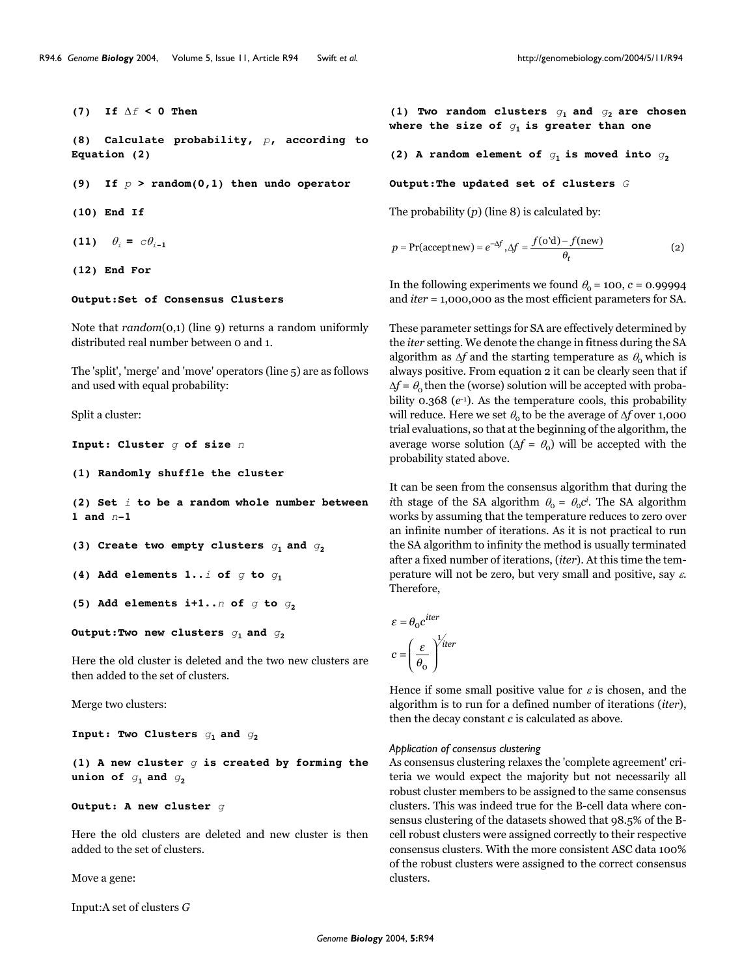(7) If ∆*f* < 0 Then

(8) Calculate probability, *p*, according to Equation (2)

(9) If *p* > random(0,1) then undo operator

```
(10) End If
```
(11)  $\theta_i = c\theta_{i-1}$ 

(12) End For

### Output:Set of Consensus Clusters

Note that *random*(0,1) (line 9) returns a random uniformly distributed real number between 0 and 1.

The 'split', 'merge' and 'move' operators (line 5) are as follows and used with equal probability:

Split a cluster:

Input: Cluster *g* of size *n*

(1) Randomly shuffle the cluster

(2) Set *i* to be a random whole number between 1 and *n*-1

(3) Create two empty clusters  $g_1$  and  $g_2$ 

(4) Add elements  $1 \ldots i$  of  $g$  to  $g_1$ 

(5) Add elements  $i+1...$  of  $g$  to  $g_2$ 

**Output:Two new clusters**  $g_1$  **and**  $g_2$ 

Here the old cluster is deleted and the two new clusters are then added to the set of clusters.

Merge two clusters:

Input: Two Clusters  $g_1$  and  $g_2$ 

(1) A new cluster *g* is created by forming the union of  $g_1$  and  $g_2$ 

Output: A new cluster *g*

Here the old clusters are deleted and new cluster is then added to the set of clusters.

Move a gene:

Input:A set of clusters *G*

(1) Two random clusters  $g_1$  and  $g_2$  are chosen where the size of  $g_1$  is greater than one

(2) A random element of  $g_1$  is moved into  $g_2$ 

Output:The updated set of clusters *G*

The probability  $(p)$  (line 8) is calculated by:

$$
p = \Pr(\text{acceptnew}) = e^{-\Delta f}, \Delta f = \frac{f(\text{o'd}) - f(\text{new})}{\theta_t}
$$
 (2)

In the following experiments we found  $\theta_0 = 100$ ,  $c = 0.99994$ and *iter* = 1,000,000 as the most efficient parameters for SA.

These parameter settings for SA are effectively determined by the *iter* setting. We denote the change in fitness during the SA algorithm as  $\Delta f$  and the starting temperature as  $\theta_0$  which is always positive. From equation 2 it can be clearly seen that if  $\Delta f = \theta_0$  then the (worse) solution will be accepted with probability 0.368 (e<sup>-1</sup>). As the temperature cools, this probability will reduce. Here we set  $\theta_0$  to be the average of  $\Delta f$  over 1,000 trial evaluations, so that at the beginning of the algorithm, the average worse solution ( $\Delta f = \theta_0$ ) will be accepted with the probability stated above.

It can be seen from the consensus algorithm that during the *i*th stage of the SA algorithm  $\theta_0 = \theta_0 c^i$ . The SA algorithm works by assuming that the temperature reduces to zero over an infinite number of iterations. As it is not practical to run the SA algorithm to infinity the method is usually terminated after a fixed number of iterations, (*iter*). At this time the temperature will not be zero, but very small and positive, say  $\varepsilon$ . Therefore,

$$
\varepsilon = \theta_0 c^{iter}
$$

$$
c = \left(\frac{\varepsilon}{\theta_0}\right)^{1/iter}
$$

Hence if some small positive value for  $\varepsilon$  is chosen, and the algorithm is to run for a defined number of iterations (*iter*), then the decay constant *c* is calculated as above.

#### *Application of consensus clustering*

As consensus clustering relaxes the 'complete agreement' criteria we would expect the majority but not necessarily all robust cluster members to be assigned to the same consensus clusters. This was indeed true for the B-cell data where consensus clustering of the datasets showed that 98.5% of the Bcell robust clusters were assigned correctly to their respective consensus clusters. With the more consistent ASC data 100% of the robust clusters were assigned to the correct consensus clusters.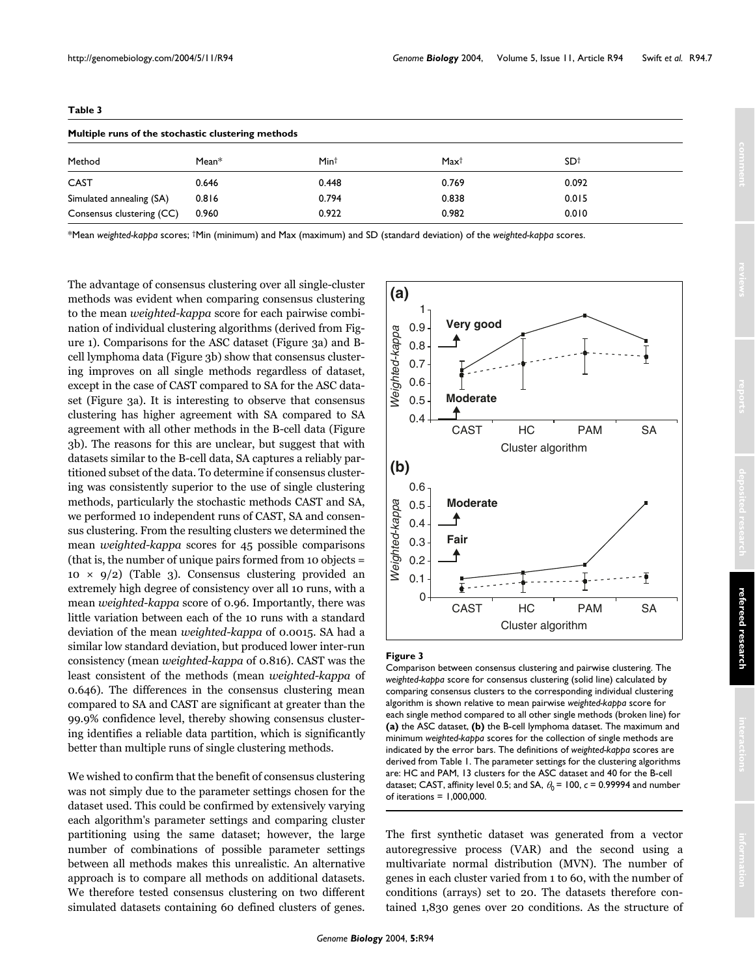<span id="page-6-0"></span>

| Table 3<br>Multiple runs of the stochastic clustering methods |       |       |       |       |        |
|---------------------------------------------------------------|-------|-------|-------|-------|--------|
|                                                               |       |       |       |       | Method |
| <b>CAST</b>                                                   | 0.646 | 0.448 | 0.769 | 0.092 |        |
| Simulated annealing (SA)                                      | 0.816 | 0.794 | 0.838 | 0.015 |        |
| Consensus clustering (CC)                                     | 0.960 | 0.922 | 0.982 | 0.010 |        |

\*Mean *weighted-kappa* scores; †Min (minimum) and Max (maximum) and SD (standard deviation) of the *weighted-kappa* scores.

The advantage of consensus clustering over all single-cluster methods was evident when comparing consensus clustering to the mean *weighted-kappa* score for each pairwise combination of individual clustering algorithms (derived from Figure 1). Comparisons for the ASC dataset (Figure 3a) and Bcell lymphoma data (Figure 3b) show that consensus clustering improves on all single methods regardless of dataset, except in the case of CAST compared to SA for the ASC dataset (Figure 3a). It is interesting to observe that consensus clustering has higher agreement with SA compared to SA agreement with all other methods in the B-cell data (Figure 3b). The reasons for this are unclear, but suggest that with datasets similar to the B-cell data, SA captures a reliably partitioned subset of the data. To determine if consensus clustering was consistently superior to the use of single clustering methods, particularly the stochastic methods CAST and SA, we performed 10 independent runs of CAST, SA and consensus clustering. From the resulting clusters we determined the mean *weighted-kappa* scores for 45 possible comparisons (that is, the number of unique pairs formed from 10 objects =  $10 \times 9/2$ ) (Table [3\)](#page-6-0). Consensus clustering provided an extremely high degree of consistency over all 10 runs, with a mean *weighted-kappa* score of 0.96. Importantly, there was little variation between each of the 10 runs with a standard deviation of the mean *weighted-kappa* of 0.0015. SA had a similar low standard deviation, but produced lower inter-run consistency (mean *weighted-kappa* of 0.816). CAST was the least consistent of the methods (mean *weighted-kappa* of 0.646). The differences in the consensus clustering mean compared to SA and CAST are significant at greater than the 99.9% confidence level, thereby showing consensus clustering identifies a reliable data partition, which is significantly better than multiple runs of single clustering methods.

We wished to confirm that the benefit of consensus clustering was not simply due to the parameter settings chosen for the dataset used. This could be confirmed by extensively varying each algorithm's parameter settings and comparing cluster partitioning using the same dataset; however, the large number of combinations of possible parameter settings between all methods makes this unrealistic. An alternative approach is to compare all methods on additional datasets. We therefore tested consensus clustering on two different simulated datasets containing 60 defined clusters of genes.



#### Figure 3

Comparison between consensus clustering and pairwise clustering. The *weighted-kappa* score for consensus clustering (solid line) calculated by comparing consensus clusters to the corresponding individual clustering algorithm is shown relative to mean pairwise *weighted-kappa* score for each single method compared to all other single methods (broken line) for **(a)** the ASC dataset, **(b)** the B-cell lymphoma dataset. The maximum and minimum *weighted-kappa* scores for the collection of single methods are indicated by the error bars. The definitions of *weighted-kappa* scores are derived from Table 1. The parameter settings for the clustering algorithms are: HC and PAM, 13 clusters for the ASC dataset and 40 for the B-cell dataset; CAST, affinity level 0.5; and SA,  $\theta_0$  = 100,  $c$  = 0.99994 and number of iterations = 1,000,000.

The first synthetic dataset was generated from a vector autoregressive process (VAR) and the second using a multivariate normal distribution (MVN). The number of genes in each cluster varied from 1 to 60, with the number of conditions (arrays) set to 20. The datasets therefore contained 1,830 genes over 20 conditions. As the structure of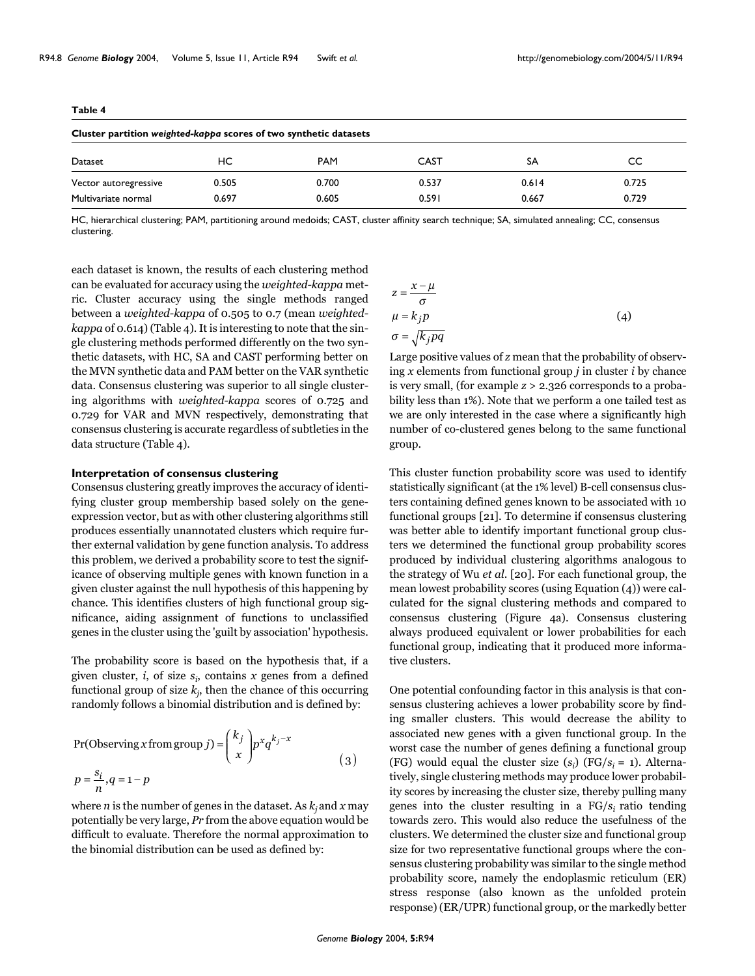| і аріс т<br>Cluster partition weighted-kappa scores of two synthetic datasets |       |       |       |       |       |
|-------------------------------------------------------------------------------|-------|-------|-------|-------|-------|
|                                                                               |       |       |       |       |       |
| Vector autoregressive                                                         | 0.505 | 0.700 | 0.537 | 0.614 | 0.725 |
| Multivariate normal                                                           | 0.697 | 0.605 | 0.591 | 0.667 | 0.729 |

<span id="page-7-0"></span>**Table 4**

HC, hierarchical clustering; PAM, partitioning around medoids; CAST, cluster affinity search technique; SA, simulated annealing; CC, consensus clustering.

each dataset is known, the results of each clustering method can be evaluated for accuracy using the *weighted-kappa* metric. Cluster accuracy using the single methods ranged between a *weighted-kappa* of 0.505 to 0.7 (mean *weightedkappa* of 0.614) (Table [4\)](#page-7-0). It is interesting to note that the single clustering methods performed differently on the two synthetic datasets, with HC, SA and CAST performing better on the MVN synthetic data and PAM better on the VAR synthetic data. Consensus clustering was superior to all single clustering algorithms with *weighted-kappa* scores of 0.725 and 0.729 for VAR and MVN respectively, demonstrating that consensus clustering is accurate regardless of subtleties in the data structure (Table [4](#page-7-0)).

# **Interpretation of consensus clustering**

Consensus clustering greatly improves the accuracy of identifying cluster group membership based solely on the geneexpression vector, but as with other clustering algorithms still produces essentially unannotated clusters which require further external validation by gene function analysis. To address this problem, we derived a probability score to test the significance of observing multiple genes with known function in a given cluster against the null hypothesis of this happening by chance. This identifies clusters of high functional group significance, aiding assignment of functions to unclassified genes in the cluster using the 'guilt by association' hypothesis.

The probability score is based on the hypothesis that, if a given cluster, *i*, of size *si* , contains *x* genes from a defined functional group of size *kj* , then the chance of this occurring randomly follows a binomial distribution and is defined by:

Pr(Observing x from group j) = 
$$
\binom{k_j}{x} p^x q^{k_j - x}
$$
  
\n
$$
p = \frac{s_i}{n}, q = 1 - p
$$
\n(3)

where *n* is the number of genes in the dataset. As  $k_i$  and  $x$  may potentially be very large, *Pr* from the above equation would be difficult to evaluate. Therefore the normal approximation to the binomial distribution can be used as defined by:

$$
z = \frac{x - \mu}{\sigma}
$$
  
\n
$$
\mu = k_j p
$$
  
\n
$$
\sigma = \sqrt{k_j pq}
$$
\n(4)

Large positive values of *z* mean that the probability of observing *x* elements from functional group *j* in cluster *i* by chance is very small, (for example *z* > 2.326 corresponds to a probability less than 1%). Note that we perform a one tailed test as we are only interested in the case where a significantly high number of co-clustered genes belong to the same functional group.

This cluster function probability score was used to identify statistically significant (at the 1% level) B-cell consensus clusters containing defined genes known to be associated with 10 functional groups [21]. To determine if consensus clustering was better able to identify important functional group clusters we determined the functional group probability scores produced by individual clustering algorithms analogous to the strategy of Wu *et al*. [20]. For each functional group, the mean lowest probability scores (using Equation (4)) were calculated for the signal clustering methods and compared to consensus clustering (Figure [4a](#page-8-0)). Consensus clustering always produced equivalent or lower probabilities for each functional group, indicating that it produced more informative clusters.

One potential confounding factor in this analysis is that consensus clustering achieves a lower probability score by finding smaller clusters. This would decrease the ability to associated new genes with a given functional group. In the worst case the number of genes defining a functional group (FG) would equal the cluster size  $(s_i)$  (FG/ $s_i = 1$ ). Alternatively, single clustering methods may produce lower probability scores by increasing the cluster size, thereby pulling many genes into the cluster resulting in a FG/*si* ratio tending towards zero. This would also reduce the usefulness of the clusters. We determined the cluster size and functional group size for two representative functional groups where the consensus clustering probability was similar to the single method probability score, namely the endoplasmic reticulum (ER) stress response (also known as the unfolded protein response) (ER/UPR) functional group, or the markedly better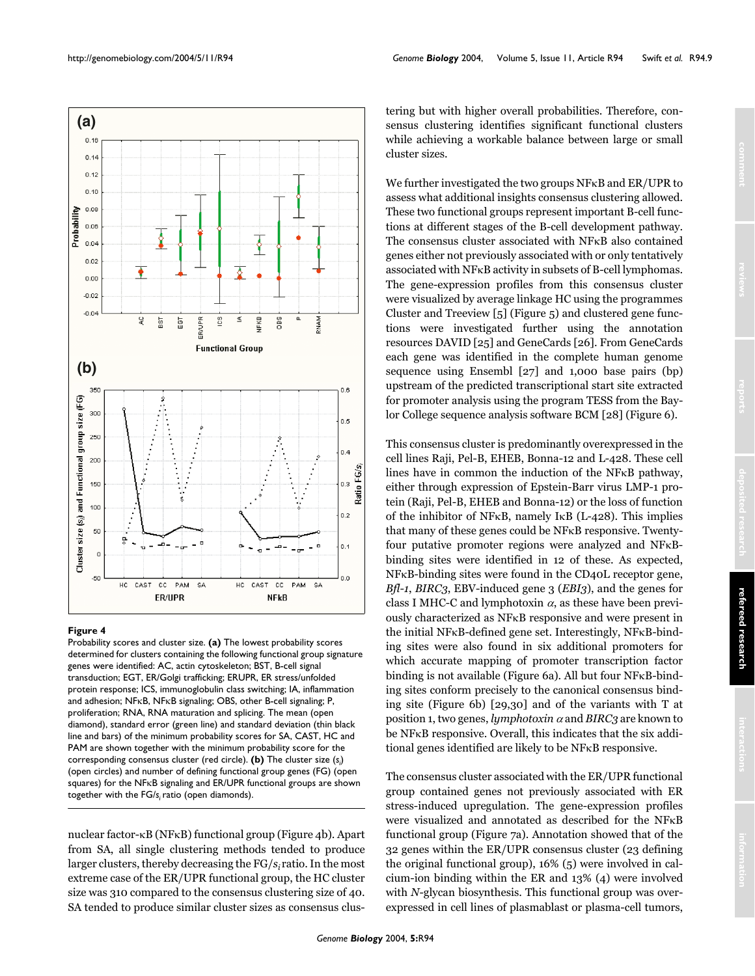<span id="page-8-0"></span>

#### **Figure 4**

Probability scores and cluster size. **(a)** The lowest probability scores determined for clusters containing the following functional group signature genes were identified: AC, actin cytoskeleton; BST, B-cell signal transduction; EGT, ER/Golgi trafficking; ERUPR, ER stress/unfolded protein response; ICS, immunoglobulin class switching; IA, inflammation and adhesion; NFκB, NFκB signaling; OBS, other B-cell signaling; P, proliferation; RNA, RNA maturation and splicing. The mean (open diamond), standard error (green line) and standard deviation (thin black line and bars) of the minimum probability scores for SA, CAST, HC and PAM are shown together with the minimum probability score for the corresponding consensus cluster (red circle). **(b)** The cluster size (*si* ) (open circles) and number of defining functional group genes (FG) (open squares) for the NFκB signaling and ER/UPR functional groups are shown together with the FG/*si* ratio (open diamonds).

nuclear factor-κB (NFκB) functional group (Figure [4b](#page-8-0)). Apart from SA, all single clustering methods tended to produce larger clusters, thereby decreasing the FG/*si* ratio. In the most extreme case of the ER/UPR functional group, the HC cluster size was 310 compared to the consensus clustering size of 40. SA tended to produce similar cluster sizes as consensus clustering but with higher overall probabilities. Therefore, consensus clustering identifies significant functional clusters while achieving a workable balance between large or small cluster sizes.

We further investigated the two groups NFκB and ER/UPR to assess what additional insights consensus clustering allowed. These two functional groups represent important B-cell functions at different stages of the B-cell development pathway. The consensus cluster associated with NFκB also contained genes either not previously associated with or only tentatively associated with NFκB activity in subsets of B-cell lymphomas. The gene-expression profiles from this consensus cluster were visualized by average linkage HC using the programmes Cluster and Treeview [5] (Figure [5](#page-9-0)) and clustered gene functions were investigated further using the annotation resources DAVID [25] and GeneCards [26]. From GeneCards each gene was identified in the complete human genome sequence using Ensembl [27] and 1,000 base pairs (bp) upstream of the predicted transcriptional start site extracted for promoter analysis using the program TESS from the Baylor College sequence analysis software BCM [28] (Figure [6\)](#page-10-0).

This consensus cluster is predominantly overexpressed in the cell lines Raji, Pel-B, EHEB, Bonna-12 and L-428. These cell lines have in common the induction of the NFκB pathway, either through expression of Epstein-Barr virus LMP-1 protein (Raji, Pel-B, EHEB and Bonna-12) or the loss of function of the inhibitor of NFκB, namely IκB (L-428). This implies that many of these genes could be NFκB responsive. Twentyfour putative promoter regions were analyzed and NFκBbinding sites were identified in 12 of these. As expected, NFκB-binding sites were found in the CD40L receptor gene, *Bfl-1*, *BIRC3*, EBV-induced gene 3 (*EBI3*), and the genes for class I MHC-C and lymphotoxin  $\alpha$ , as these have been previously characterized as NFκB responsive and were present in the initial NFκB-defined gene set. Interestingly, NFκB-binding sites were also found in six additional promoters for which accurate mapping of promoter transcription factor binding is not available (Figure [6](#page-10-0)a). All but four NFκB-binding sites conform precisely to the canonical consensus binding site (Figure [6b](#page-10-0)) [29,30] and of the variants with T at position 1, two genes, *lymphotoxin* <sup>α</sup> and *BIRC3* are known to be NFκB responsive. Overall, this indicates that the six additional genes identified are likely to be NFκB responsive.

The consensus cluster associated with the ER/UPR functional group contained genes not previously associated with ER stress-induced upregulation. The gene-expression profiles were visualized and annotated as described for the NFκB functional group (Figure 7a). Annotation showed that of the 32 genes within the ER/UPR consensus cluster (23 defining the original functional group), 16% (5) were involved in calcium-ion binding within the ER and 13% (4) were involved with *N*-glycan biosynthesis. This functional group was overexpressed in cell lines of plasmablast or plasma-cell tumors,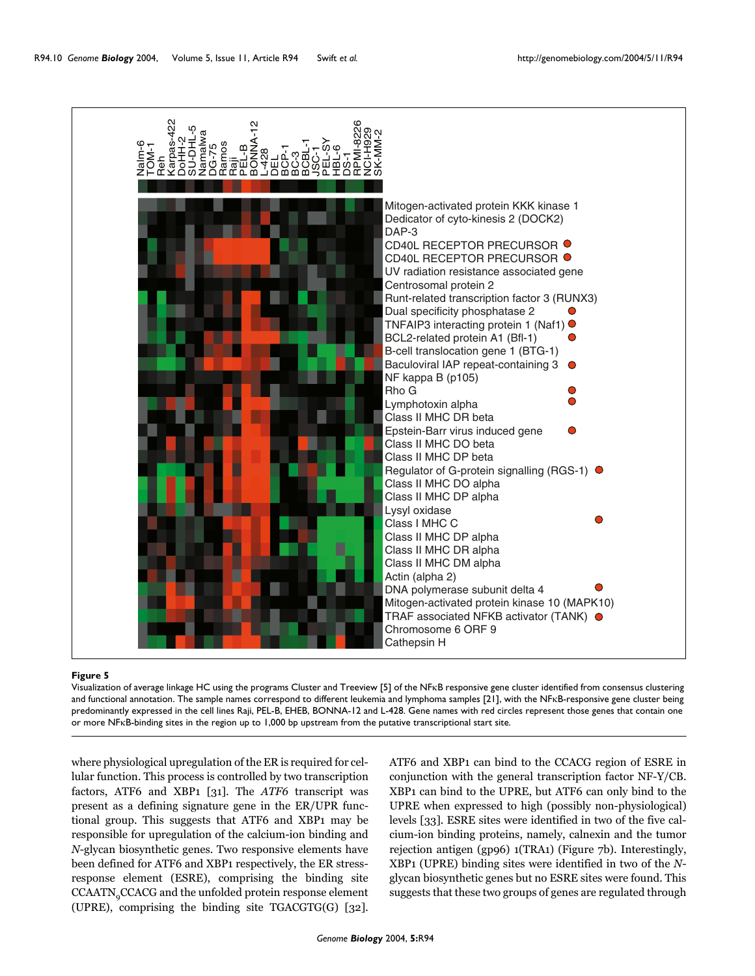<span id="page-9-0"></span>

#### and function  $\mathbf{F}$  is used the programs Cluster annotation of average linkage linkage linkage linkage linkage  $\mathbf{S}$

Visualization of average linkage HC using the programs Cluster and Treeview [5] of the NFκB responsive gene cluster identified from consensus clustering and functional annotation. The sample names correspond to different leukemia and lymphoma samples [21], with the NFκB-responsive gene cluster being predominantly expressed in the cell lines Raji, PEL-B, EHEB, BONNA-12 and L-428. Gene names with red circles represent those genes that contain one or more NFκB-binding sites in the region up to 1,000 bp upstream from the putative transcriptional start site.

where physiological upregulation of the ER is required for cellular function. This process is controlled by two transcription factors, ATF6 and XBP1 [31]. The *ATF6* transcript was present as a defining signature gene in the ER/UPR functional group. This suggests that ATF6 and XBP1 may be responsible for upregulation of the calcium-ion binding and *N*-glycan biosynthetic genes. Two responsive elements have been defined for ATF6 and XBP1 respectively, the ER stressresponse element (ESRE), comprising the binding site CCAATN<sub>o</sub>CCACG and the unfolded protein response element (UPRE), comprising the binding site TGACGTG(G) [32].

ATF6 and XBP1 can bind to the CCACG region of ESRE in conjunction with the general transcription factor NF-Y/CB. XBP1 can bind to the UPRE, but ATF6 can only bind to the UPRE when expressed to high (possibly non-physiological) levels [33]. ESRE sites were identified in two of the five calcium-ion binding proteins, namely, calnexin and the tumor rejection antigen (gp96) 1(TRA1) (Figure 7b). Interestingly, XBP1 (UPRE) binding sites were identified in two of the *N*glycan biosynthetic genes but no ESRE sites were found. This suggests that these two groups of genes are regulated through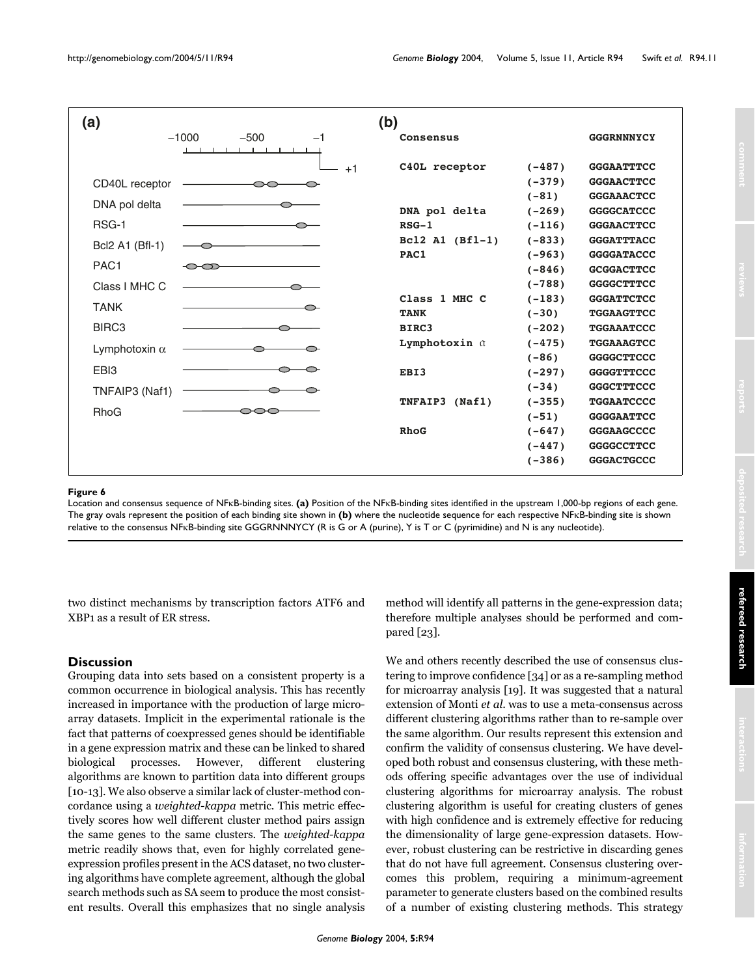<span id="page-10-0"></span>

| (a)                    |                           | (b)                      |          |                   |
|------------------------|---------------------------|--------------------------|----------|-------------------|
|                        | $-1000$<br>$-500$<br>$-1$ | Consensus                |          | <b>GGGRNNNYCY</b> |
|                        | $+1$                      | C40L receptor            | $(-487)$ | <b>GGGAATTTCC</b> |
| CD40L receptor         |                           |                          | $(-379)$ | <b>GGGAACTTCC</b> |
| DNA pol delta          |                           |                          | $(-81)$  | <b>GGGAAACTCC</b> |
|                        |                           | DNA pol delta            | $(-269)$ | <b>GGGGCATCCC</b> |
| RSG-1                  |                           | $RSG-1$                  | $(-116)$ | <b>GGGAACTTCC</b> |
| <b>Bcl2 A1 (Bfl-1)</b> |                           | Bcl2 A1 $(Bf1-1)$        | $(-833)$ | <b>GGGATTTACC</b> |
|                        |                           | PAC1                     | $(-963)$ | <b>GGGGATACCC</b> |
| PAC <sub>1</sub>       |                           |                          | $(-846)$ | <b>GCGGACTTCC</b> |
| Class I MHC C          |                           |                          | $(-788)$ | <b>GGGGCTTTCC</b> |
| <b>TANK</b>            |                           | Class 1 MHC C            | $(-183)$ | <b>GGGATTCTCC</b> |
|                        |                           | <b>TANK</b>              | $(-30)$  | <b>TGGAAGTTCC</b> |
| BIRC <sub>3</sub>      |                           | BIRC3                    | $(-202)$ | <b>TGGAAATCCC</b> |
| Lymphotoxin $\alpha$   |                           | Lymphotoxin a            | $(-475)$ | <b>TGGAAAGTCC</b> |
|                        |                           |                          | $(-86)$  | <b>GGGGCTTCCC</b> |
| EBI <sub>3</sub>       |                           | EBI3                     | $(-297)$ | <b>GGGGTTTCCC</b> |
| TNFAIP3 (Naf1)         |                           |                          | $(-34)$  | <b>GGGCTTTCCC</b> |
|                        |                           | <b>TNFAIP3</b><br>(Naf1) | $(-355)$ | <b>TGGAATCCCC</b> |
| <b>RhoG</b>            |                           |                          | $(-51)$  | <b>GGGGAATTCC</b> |
|                        |                           | RhoG                     | $(-647)$ | <b>GGGAAGCCCC</b> |
|                        |                           |                          | $(-447)$ | <b>GGGGCCTTCC</b> |
|                        |                           |                          | $(-386)$ | <b>GGGACTGCCC</b> |

#### **Figure 6**

Location and consensus sequence of NFκB-binding sites. **(a)** Position of the NFκB-binding sites identified in the upstream 1,000-bp regions of each gene. The gray ovals represent the position of each binding site shown in **(b)** where the nucleotide sequence for each respective NFκB-binding site is shown relative to the consensus NFκB-binding site GGGRNNNYCY (R is G or A (purine), Y is T or C (pyrimidine) and N is any nucleotide).

two distinct mechanisms by transcription factors ATF6 and XBP1 as a result of ER stress.

# **Discussion**

Grouping data into sets based on a consistent property is a common occurrence in biological analysis. This has recently increased in importance with the production of large microarray datasets. Implicit in the experimental rationale is the fact that patterns of coexpressed genes should be identifiable in a gene expression matrix and these can be linked to shared biological processes. However, different clustering algorithms are known to partition data into different groups [10-13]. We also observe a similar lack of cluster-method concordance using a *weighted-kappa* metric. This metric effectively scores how well different cluster method pairs assign the same genes to the same clusters. The *weighted-kappa* metric readily shows that, even for highly correlated geneexpression profiles present in the ACS dataset, no two clustering algorithms have complete agreement, although the global search methods such as SA seem to produce the most consistent results. Overall this emphasizes that no single analysis

method will identify all patterns in the gene-expression data; therefore multiple analyses should be performed and compared [23].

We and others recently described the use of consensus clustering to improve confidence [34] or as a re-sampling method for microarray analysis [19]. It was suggested that a natural extension of Monti *et al*. was to use a meta-consensus across different clustering algorithms rather than to re-sample over the same algorithm. Our results represent this extension and confirm the validity of consensus clustering. We have developed both robust and consensus clustering, with these methods offering specific advantages over the use of individual clustering algorithms for microarray analysis. The robust clustering algorithm is useful for creating clusters of genes with high confidence and is extremely effective for reducing the dimensionality of large gene-expression datasets. However, robust clustering can be restrictive in discarding genes that do not have full agreement. Consensus clustering overcomes this problem, requiring a minimum-agreement parameter to generate clusters based on the combined results of a number of existing clustering methods. This strategy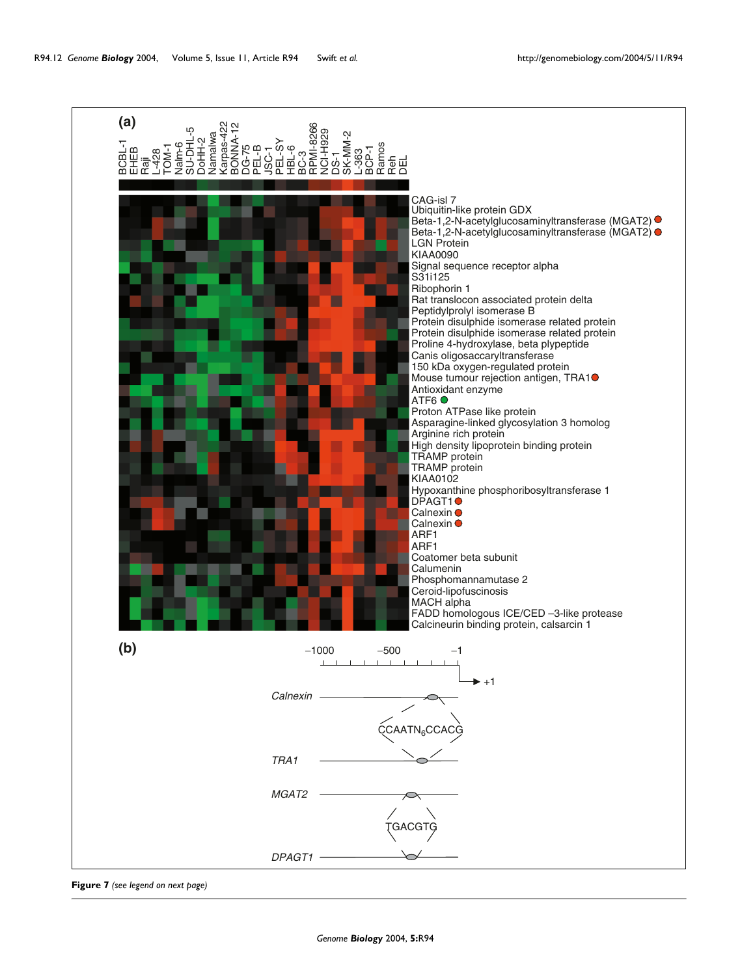



**Figure 7** *(see legend on next page)*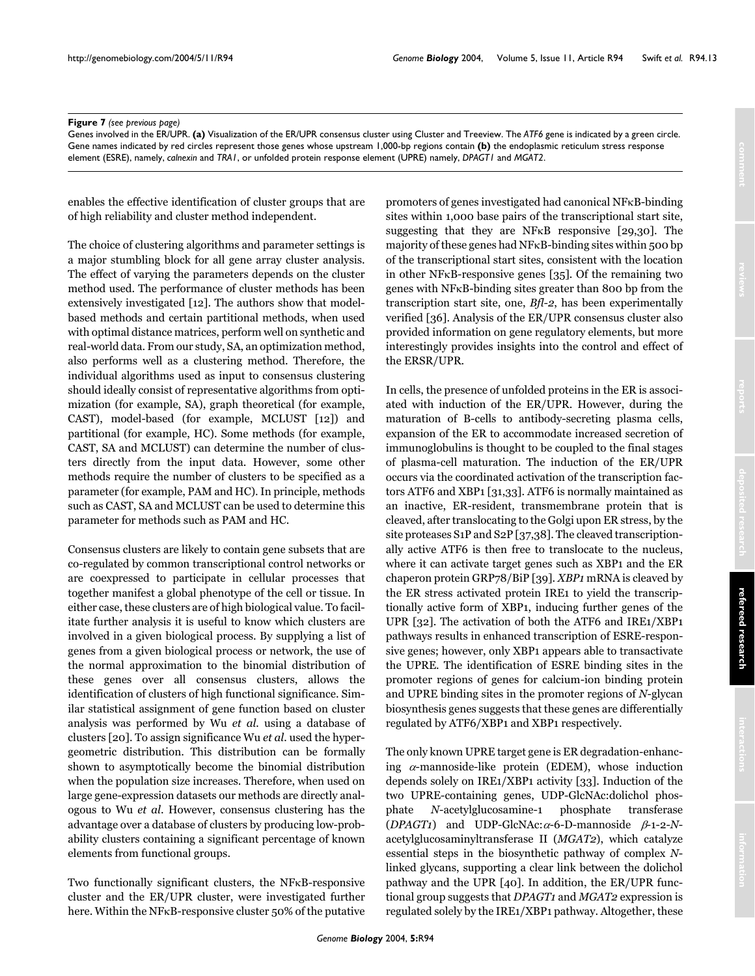#### Figure 7 (see previous page)

Genes involved in the ER/UPR. **(a)** Visualization of the ER/UPR consensus cluster using Cluster and Treeview. The *ATF6* gene is indicated by a green circle. Gene names indicated by red circles represent those genes whose upstream 1,000-bp regions contain **(b)** the endoplasmic reticulum stress response element (ESRE), namely, *calnexin* and *TRA1*, or unfolded protein response element (UPRE) namely, *DPAGT1* and *MGAT2*.

enables the effective identification of cluster groups that are of high reliability and cluster method independent.

The choice of clustering algorithms and parameter settings is a major stumbling block for all gene array cluster analysis. The effect of varying the parameters depends on the cluster method used. The performance of cluster methods has been extensively investigated [12]. The authors show that modelbased methods and certain partitional methods, when used with optimal distance matrices, perform well on synthetic and real-world data. From our study, SA, an optimization method, also performs well as a clustering method. Therefore, the individual algorithms used as input to consensus clustering should ideally consist of representative algorithms from optimization (for example, SA), graph theoretical (for example, CAST), model-based (for example, MCLUST [12]) and partitional (for example, HC). Some methods (for example, CAST, SA and MCLUST) can determine the number of clusters directly from the input data. However, some other methods require the number of clusters to be specified as a parameter (for example, PAM and HC). In principle, methods such as CAST, SA and MCLUST can be used to determine this parameter for methods such as PAM and HC.

Consensus clusters are likely to contain gene subsets that are co-regulated by common transcriptional control networks or are coexpressed to participate in cellular processes that together manifest a global phenotype of the cell or tissue. In either case, these clusters are of high biological value. To facilitate further analysis it is useful to know which clusters are involved in a given biological process. By supplying a list of genes from a given biological process or network, the use of the normal approximation to the binomial distribution of these genes over all consensus clusters, allows the identification of clusters of high functional significance. Similar statistical assignment of gene function based on cluster analysis was performed by Wu *et al.* using a database of clusters [20]. To assign significance Wu *et al.* used the hypergeometric distribution. This distribution can be formally shown to asymptotically become the binomial distribution when the population size increases. Therefore, when used on large gene-expression datasets our methods are directly analogous to Wu *et al*. However, consensus clustering has the advantage over a database of clusters by producing low-probability clusters containing a significant percentage of known elements from functional groups.

Two functionally significant clusters, the NFκB-responsive cluster and the ER/UPR cluster, were investigated further here. Within the NFκB-responsive cluster 50% of the putative

promoters of genes investigated had canonical NFκB-binding sites within 1,000 base pairs of the transcriptional start site, suggesting that they are NFκB responsive [29,30]. The majority of these genes had NFκB-binding sites within 500 bp of the transcriptional start sites, consistent with the location in other NFκB-responsive genes [35]. Of the remaining two genes with NFκB-binding sites greater than 800 bp from the transcription start site, one, *Bfl-2*, has been experimentally verified [36]. Analysis of the ER/UPR consensus cluster also provided information on gene regulatory elements, but more interestingly provides insights into the control and effect of the ERSR/UPR.

In cells, the presence of unfolded proteins in the ER is associated with induction of the ER/UPR. However, during the maturation of B-cells to antibody-secreting plasma cells, expansion of the ER to accommodate increased secretion of immunoglobulins is thought to be coupled to the final stages of plasma-cell maturation. The induction of the ER/UPR occurs via the coordinated activation of the transcription factors ATF6 and XBP1 [31,33]. ATF6 is normally maintained as an inactive, ER-resident, transmembrane protein that is cleaved, after translocating to the Golgi upon ER stress, by the site proteases S1P and S2P [37,38]. The cleaved transcriptionally active ATF6 is then free to translocate to the nucleus, where it can activate target genes such as XBP1 and the ER chaperon protein GRP78/BiP [39]. *XBP1* mRNA is cleaved by the ER stress activated protein IRE1 to yield the transcriptionally active form of XBP1, inducing further genes of the UPR [32]. The activation of both the ATF6 and IRE1/XBP1 pathways results in enhanced transcription of ESRE-responsive genes; however, only XBP1 appears able to transactivate the UPRE. The identification of ESRE binding sites in the promoter regions of genes for calcium-ion binding protein and UPRE binding sites in the promoter regions of *N*-glycan biosynthesis genes suggests that these genes are differentially regulated by ATF6/XBP1 and XBP1 respectively.

The only known UPRE target gene is ER degradation-enhancing  $\alpha$ -mannoside-like protein (EDEM), whose induction depends solely on IRE1/XBP1 activity [33]. Induction of the two UPRE-containing genes, UDP-GlcNAc:dolichol phosphate *N*-acetylglucosamine-1 phosphate transferase (*DPAGT1*) and UDP-GlcNAc:α-6-D-mannoside β-1-2-*N*acetylglucosaminyltransferase II (*MGAT2*), which catalyze essential steps in the biosynthetic pathway of complex *N*linked glycans, supporting a clear link between the dolichol pathway and the UPR [40]. In addition, the ER/UPR functional group suggests that *DPAGT1* and *MGAT2* expression is regulated solely by the IRE1/XBP1 pathway. Altogether, these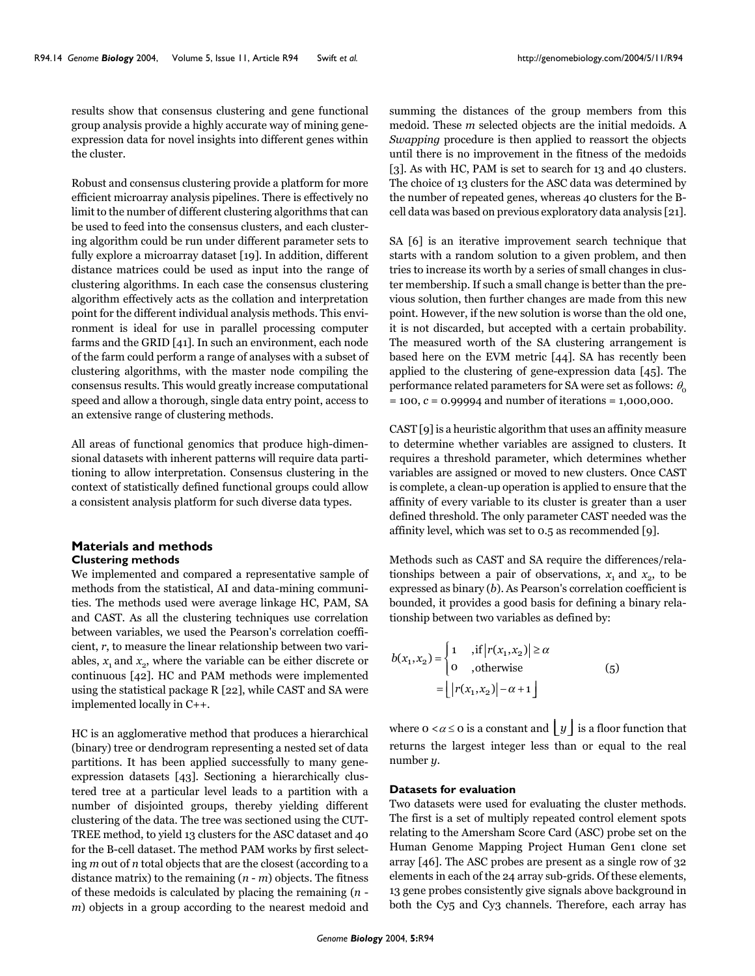results show that consensus clustering and gene functional group analysis provide a highly accurate way of mining geneexpression data for novel insights into different genes within the cluster.

Robust and consensus clustering provide a platform for more efficient microarray analysis pipelines. There is effectively no limit to the number of different clustering algorithms that can be used to feed into the consensus clusters, and each clustering algorithm could be run under different parameter sets to fully explore a microarray dataset [19]. In addition, different distance matrices could be used as input into the range of clustering algorithms. In each case the consensus clustering algorithm effectively acts as the collation and interpretation point for the different individual analysis methods. This environment is ideal for use in parallel processing computer farms and the GRID [41]. In such an environment, each node of the farm could perform a range of analyses with a subset of clustering algorithms, with the master node compiling the consensus results. This would greatly increase computational speed and allow a thorough, single data entry point, access to an extensive range of clustering methods.

All areas of functional genomics that produce high-dimensional datasets with inherent patterns will require data partitioning to allow interpretation. Consensus clustering in the context of statistically defined functional groups could allow a consistent analysis platform for such diverse data types.

#### **Materials and methods Clustering methods**

We implemented and compared a representative sample of methods from the statistical, AI and data-mining communities. The methods used were average linkage HC, PAM, SA and CAST. As all the clustering techniques use correlation between variables, we used the Pearson's correlation coefficient, *r*, to measure the linear relationship between two variables,  $x_1$  and  $x_2$ , where the variable can be either discrete or continuous [42]. HC and PAM methods were implemented using the statistical package R [22], while CAST and SA were implemented locally in C++.

HC is an agglomerative method that produces a hierarchical (binary) tree or dendrogram representing a nested set of data partitions. It has been applied successfully to many geneexpression datasets [43]. Sectioning a hierarchically clustered tree at a particular level leads to a partition with a number of disjointed groups, thereby yielding different clustering of the data. The tree was sectioned using the CUT-TREE method, to yield 13 clusters for the ASC dataset and 40 for the B-cell dataset. The method PAM works by first selecting *m* out of *n* total objects that are the closest (according to a distance matrix) to the remaining (*n* - *m*) objects. The fitness of these medoids is calculated by placing the remaining (*n m*) objects in a group according to the nearest medoid and summing the distances of the group members from this medoid. These *m* selected objects are the initial medoids. A *Swapping* procedure is then applied to reassort the objects until there is no improvement in the fitness of the medoids [3]. As with HC, PAM is set to search for 13 and 40 clusters. The choice of 13 clusters for the ASC data was determined by the number of repeated genes, whereas 40 clusters for the Bcell data was based on previous exploratory data analysis [21].

SA [6] is an iterative improvement search technique that starts with a random solution to a given problem, and then tries to increase its worth by a series of small changes in cluster membership. If such a small change is better than the previous solution, then further changes are made from this new point. However, if the new solution is worse than the old one, it is not discarded, but accepted with a certain probability. The measured worth of the SA clustering arrangement is based here on the EVM metric [44]. SA has recently been applied to the clustering of gene-expression data [45]. The performance related parameters for SA were set as follows:  $\theta_0$ = 100, *c* = 0.99994 and number of iterations = 1,000,000.

CAST [9] is a heuristic algorithm that uses an affinity measure to determine whether variables are assigned to clusters. It requires a threshold parameter, which determines whether variables are assigned or moved to new clusters. Once CAST is complete, a clean-up operation is applied to ensure that the affinity of every variable to its cluster is greater than a user defined threshold. The only parameter CAST needed was the affinity level, which was set to 0.5 as recommended [9].

Methods such as CAST and SA require the differences/relationships between a pair of observations,  $x_1$  and  $x_2$ , to be expressed as binary (*b*). As Pearson's correlation coefficient is bounded, it provides a good basis for defining a binary relationship between two variables as defined by:

$$
b(x_1, x_2) = \begin{cases} 1 & , \text{if } |r(x_1, x_2)| \ge \alpha \\ 0 & , \text{otherwise} \end{cases}
$$
  
=  $\lfloor |r(x_1, x_2)| - \alpha + 1 \rfloor$  (5)

where  $o \lt \alpha \le o$  is a constant and  $\lfloor y \rfloor$  is a floor function that returns the largest integer less than or equal to the real number *y*.

#### **Datasets for evaluation**

Two datasets were used for evaluating the cluster methods. The first is a set of multiply repeated control element spots relating to the Amersham Score Card (ASC) probe set on the Human Genome Mapping Project Human Gen1 clone set array [46]. The ASC probes are present as a single row of 32 elements in each of the 24 array sub-grids. Of these elements, 13 gene probes consistently give signals above background in both the Cy5 and Cy3 channels. Therefore, each array has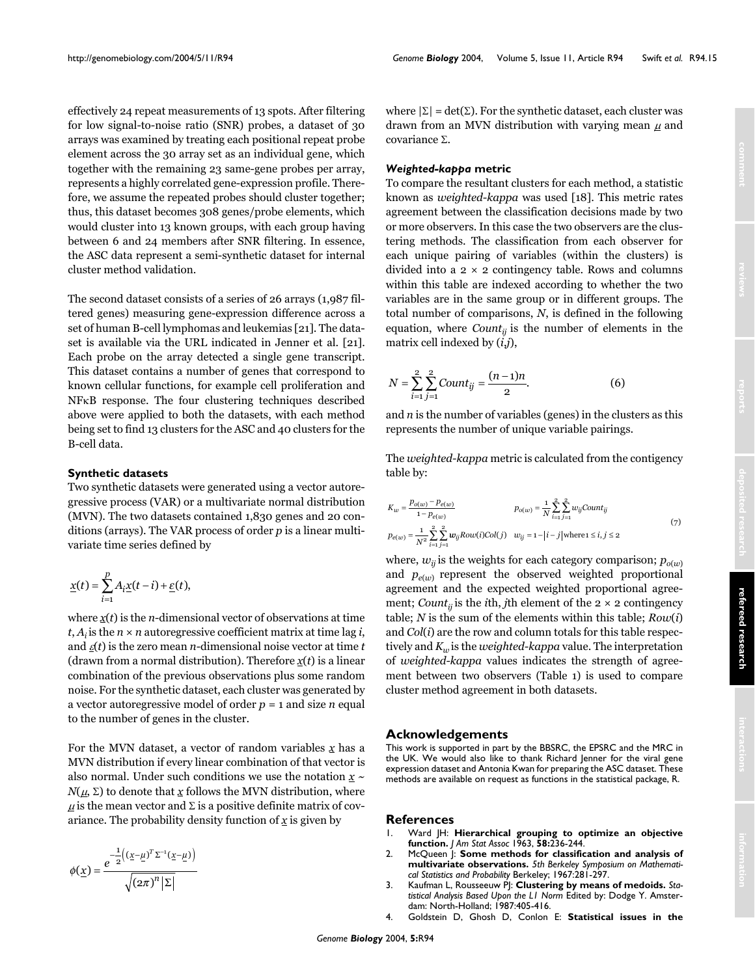effectively 24 repeat measurements of 13 spots. After filtering for low signal-to-noise ratio (SNR) probes, a dataset of 30 arrays was examined by treating each positional repeat probe element across the 30 array set as an individual gene, which together with the remaining 23 same-gene probes per array, represents a highly correlated gene-expression profile. Therefore, we assume the repeated probes should cluster together; thus, this dataset becomes 308 genes/probe elements, which would cluster into 13 known groups, with each group having between 6 and 24 members after SNR filtering. In essence, the ASC data represent a semi-synthetic dataset for internal cluster method validation.

The second dataset consists of a series of 26 arrays (1,987 filtered genes) measuring gene-expression difference across a set of human B-cell lymphomas and leukemias [21]. The dataset is available via the URL indicated in Jenner et al. [21]. Each probe on the array detected a single gene transcript. This dataset contains a number of genes that correspond to known cellular functions, for example cell proliferation and NFκB response. The four clustering techniques described above were applied to both the datasets, with each method being set to find 13 clusters for the ASC and 40 clusters for the B-cell data.

#### **Synthetic datasets**

Two synthetic datasets were generated using a vector autoregressive process (VAR) or a multivariate normal distribution (MVN). The two datasets contained 1,830 genes and 20 conditions (arrays). The VAR process of order *p* is a linear multivariate time series defined by

$$
\underline{x}(t) = \sum_{i=1}^p A_i \underline{x}(t-i) + \underline{\varepsilon}(t),
$$

where  $x(t)$  is the *n*-dimensional vector of observations at time  $t, A_i$  is the  $n \times n$  autoregressive coefficient matrix at time lag *i*, and  $g(t)$  is the zero mean *n*-dimensional noise vector at time *t* (drawn from a normal distribution). Therefore  $\underline{x}(t)$  is a linear combination of the previous observations plus some random noise. For the synthetic dataset, each cluster was generated by a vector autoregressive model of order *p* = 1 and size *n* equal to the number of genes in the cluster.

For the MVN dataset, a vector of random variables *x* has a MVN distribution if every linear combination of that vector is also normal. Under such conditions we use the notation  $x \sim$  $N(\mu, \Sigma)$  to denote that  $\chi$  follows the MVN distribution, where  $\mu$  is the mean vector and  $\Sigma$  is a positive definite matrix of covariance. The probability density function of  $x$  is given by

$$
\phi(\underline{x}) = \frac{e^{-\frac{1}{2}((\underline{x}-\underline{\mu})^T\Sigma^{-1}(\underline{x}-\underline{\mu}))}}{\sqrt{(2\pi)^T|\Sigma|}}
$$

where  $|\Sigma| = \det(\Sigma)$ . For the synthetic dataset, each cluster was drawn from an MVN distribution with varying mean  $\mu$  and covariance Σ.

#### *Weighted-kappa* **metric**

To compare the resultant clusters for each method, a statistic known as *weighted-kappa* was used [18]. This metric rates agreement between the classification decisions made by two or more observers. In this case the two observers are the clustering methods. The classification from each observer for each unique pairing of variables (within the clusters) is divided into a  $2 \times 2$  contingency table. Rows and columns within this table are indexed according to whether the two variables are in the same group or in different groups. The total number of comparisons, *N*, is defined in the following equation, where *Count<sub>ii</sub>* is the number of elements in the matrix cell indexed by (*i*,*j*),

$$
N = \sum_{i=1}^{2} \sum_{j=1}^{2} Count_{ij} = \frac{(n-1)n}{2}.
$$
 (6)

and *n* is the number of variables (genes) in the clusters as this represents the number of unique variable pairings.

The *weighted-kappa* metric is calculated from the contigency table by:

$$
K_{w} = \frac{p_{o(w)} - p_{e(w)}}{1 - p_{e(w)}} \qquad p_{o(w)} = \frac{1}{N} \sum_{i=1}^{2} \sum_{j=1}^{2} w_{ij} Count_{ij}
$$
  
\n
$$
p_{e(w)} = \frac{1}{N^{2}} \sum_{i=1}^{2} \sum_{j=1}^{2} w_{ij} Row(i) Col(j) \qquad w_{ij} = 1 - |i - j| \text{where } 1 \le i, j \le 2
$$
\n(7)

where,  $w_{ij}$  is the weights for each category comparison;  $p_{o(w)}$ and  $p_{e(w)}$  represent the observed weighted proportional agreement and the expected weighted proportional agreement; *Count<sub>ii</sub>* is the *i*th, *j*th element of the  $2 \times 2$  contingency table; *N* is the sum of the elements within this table; *Row*(*i*) and *Col*(*i*) are the row and column totals for this table respectively and  $K_w$  is the *weighted-kappa* value. The interpretation of *weighted-kappa* values indicates the strength of agreement between two observers (Table [1\)](#page-1-0) is used to compare cluster method agreement in both datasets.

#### **Acknowledgements**

This work is supported in part by the BBSRC, the EPSRC and the MRC in the UK. We would also like to thank Richard Jenner for the viral gene expression dataset and Antonia Kwan for preparing the ASC dataset. These methods are available on request as functions in the statistical package, R.

# **References**

- 1. Ward JH: **Hierarchical grouping to optimize an objective function.** *J Am Stat Assoc* 1963, **58:**236-244.
- 2. McQueen J: **Some methods for classification and analysis of multivariate observations.** *5th Berkeley Symposium on Mathematical Statistics and Probability* Berkeley; 1967:281-297.
- 3. Kaufman L, Rousseeuw PJ: **Clustering by means of medoids.** *Statistical Analysis Based Upon the L1 Norm* Edited by: Dodge Y. Amsterdam: North-Holland; 1987:405-416.
- 4. Goldstein D, Ghosh D, Conlon E: **Statistical issues in the**